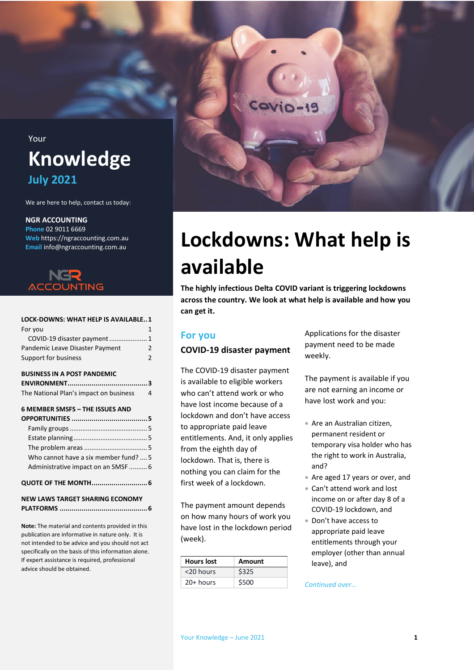Your

## **Knowledge July 2021**

We are here to help, contact us today:

#### **NGR ACCOUNTING**

**Phone** 02 9011 6669 **Web** https://ngraccounting.com.au **Email** info@ngraccounting.com.au



## **[LOCK-DOWNS: WHAT HELP IS AVAILABLE..1](#page-0-0)**

| For you                         |   |
|---------------------------------|---|
| COVID-19 disaster payment  1    |   |
| Pandemic Leave Disaster Payment | 2 |
| Support for business            | 2 |

#### **[BUSINESS IN A POST PANDEMIC](#page-2-0)**

| The National Plan's impact on business | 4 |
|----------------------------------------|---|

#### **[6 MEMBER SMSFS](#page-4-0) – THE ISSUES AND**

| Who cannot have a six member fund?  5  |  |  |
|----------------------------------------|--|--|
| Administrative impact on an SMSF  6    |  |  |
| QUOTE OF THE MONTH 6                   |  |  |
| <b>NEW LAWS TARGET SHARING ECONOMY</b> |  |  |

**PLATFORMS [............................................6](#page-5-2)**

**Note:** The material and contents provided in this publication are informative in nature only. It is not intended to be advice and you should not act specifically on the basis of this information alone. If expert assistance is required, professional advice should be obtained.



## <span id="page-0-0"></span>**Lockdowns: What help is available**

**The highly infectious Delta COVID variant is triggering lockdowns across the country. We look at what help is available and how you can get it.** 

## <span id="page-0-1"></span>**For you**

#### <span id="page-0-2"></span>**COVID-19 disaster payment**

The COVID-19 disaster payment is available to eligible workers who can't attend work or who have lost income because of a lockdown and don't have access to appropriate paid leave entitlements. And, it only applies from the eighth day of lockdown. That is, there is nothing you can claim for the first week of a lockdown.

The payment amount depends on how many hours of work you have lost in the lockdown period (week).

| <b>Hours lost</b> | Amount |
|-------------------|--------|
| <20 hours         | \$325  |
| $20+$ hours       | \$500  |

Applications for the disaster payment need to be made weekly.

The payment is available if you are not earning an income or have lost work and you:

- Are an Australian citizen, permanent resident or temporary visa holder who has the right to work in Australia, and?
- Are aged 17 years or over, and
- Can't attend work and lost income on or after day 8 of a COVID-19 lockdown, and
- Don't have access to appropriate paid leave entitlements through your employer (other than annual leave), and

#### *Continued over…*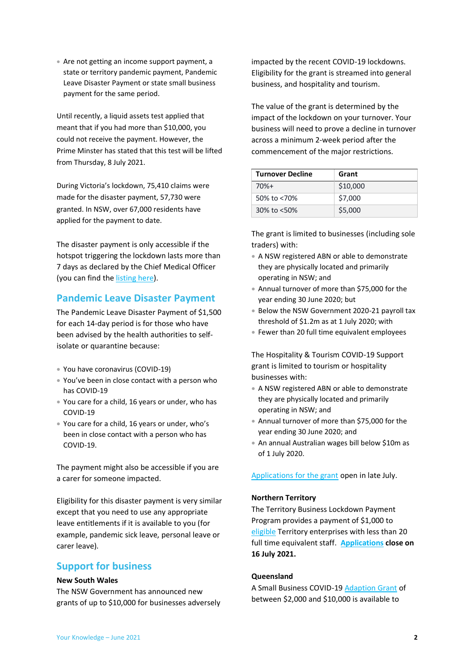• Are not getting an income support payment, a state or territory pandemic payment, Pandemic Leave Disaster Payment or state small business payment for the same period.

Until recently, a liquid assets test applied that meant that if you had more than \$10,000, you could not receive the payment. However, the Prime Minster has stated that this test will be lifted from Thursday, 8 July 2021.

During Victoria's lockdown, 75,410 claims were made for the disaster payment, 57,730 were granted. In NSW, over 67,000 residents have applied for the payment to date.

The disaster payment is only accessible if the hotspot triggering the lockdown lasts more than 7 days as declared by the Chief Medical Officer (you can find th[e listing here\)](https://www.servicesaustralia.gov.au/individuals/services/centrelink/covid-19-disaster-payment/who-can-get-it).

## <span id="page-1-0"></span>**Pandemic Leave Disaster Payment**

The Pandemic Leave Disaster Payment of \$1,500 for each 14-day period is for those who have been advised by the health authorities to selfisolate or quarantine because:

- You have coronavirus (COVID-19)
- You've been in close contact with a person who has COVID-19
- You care for a child, 16 years or under, who has COVID-19
- You care for a child, 16 years or under, who's been in close contact with a person who has COVID-19.

The payment might also be accessible if you are a carer for someone impacted.

Eligibility for this disaster payment is very similar except that you need to use any appropriate leave entitlements if it is available to you (for example, pandemic sick leave, personal leave or carer leave).

## <span id="page-1-1"></span>**Support for business**

#### **New South Wales**

The NSW Government has announced new grants of up to \$10,000 for businesses adversely impacted by the recent COVID-19 lockdowns. Eligibility for the grant is streamed into general business, and hospitality and tourism.

The value of the grant is determined by the impact of the lockdown on your turnover. Your business will need to prove a decline in turnover across a minimum 2-week period after the commencement of the major restrictions.

| <b>Turnover Decline</b> | Grant    |
|-------------------------|----------|
| $70%+$                  | \$10,000 |
| 50% to <70%             | \$7,000  |
| 30% to <50%             | \$5,000  |

The grant is limited to businesses (including sole traders) with:

- A NSW registered ABN or able to demonstrate they are physically located and primarily operating in NSW; and
- Annual turnover of more than \$75,000 for the year ending 30 June 2020; but
- Below the NSW Government 2020-21 payroll tax threshold of \$1.2m as at 1 July 2020; with
- Fewer than 20 full time equivalent employees

The Hospitality & Tourism COVID-19 Support grant is limited to tourism or hospitality businesses with:

- A NSW registered ABN or able to demonstrate they are physically located and primarily operating in NSW; and
- Annual turnover of more than \$75,000 for the year ending 30 June 2020; and
- An annual Australian wages bill below \$10m as of 1 July 2020.

[Applications for the grant](https://www.service.nsw.gov.au/transaction/apply-covid-19-business-support-grant) open in late July.

#### **Northern Territory**

The Territory Business Lockdown Payment Program provides a payment of \$1,000 to [eligible](https://businessrecovery.nt.gov.au/terms-and-conditions) Territory enterprises with less than 20 full time equivalent staff. **[Applications](https://businessnt.smartygrants.com.au/lockdownpayment) close on 16 July 2021.**

#### **Queensland**

A Small Business COVID-1[9 Adaption Grant](https://www.business.qld.gov.au/starting-business/advice-support/grants/adaption) of between \$2,000 and \$10,000 is available to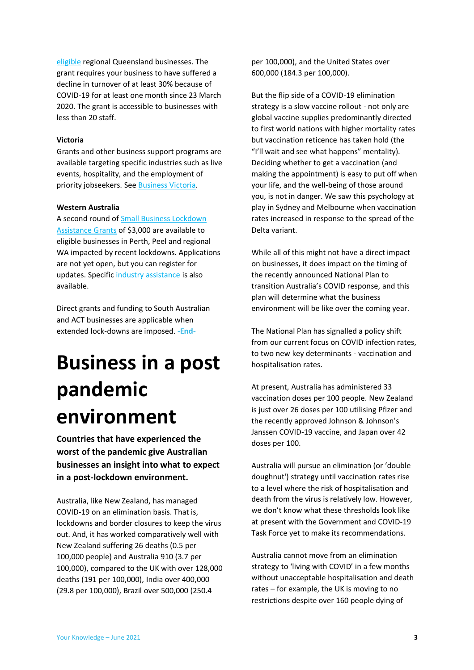[eligible](https://www.business.qld.gov.au/starting-business/advice-support/grants/adaption#eligibility) regional Queensland businesses. The grant requires your business to have suffered a decline in turnover of at least 30% because of COVID-19 for at least one month since 23 March 2020. The grant is accessible to businesses with less than 20 staff.

#### **Victoria**

Grants and other business support programs are available targeting specific industries such as live events, hospitality, and the employment of priority jobseekers. Se[e Business Victoria.](https://business.vic.gov.au/grants-and-programs)

#### **Western Australia**

A second round o[f Small Business Lockdown](https://www.smallbusiness.wa.gov.au/lockdown-assistance)  [Assistance Grants](https://www.smallbusiness.wa.gov.au/lockdown-assistance) of \$3,000 are available to eligible businesses in Perth, Peel and regional WA impacted by recent lockdowns. Applications are not yet open, but you can register for updates. Specifi[c industry assistance](https://www.wa.gov.au/organisation/department-of-the-premier-and-cabinet/covid-19-coronavirus-support-business) is also available.

Direct grants and funding to South Australian and ACT businesses are applicable when extended lock-downs are imposed. **-End-**

## <span id="page-2-0"></span>**Business in a post pandemic environment**

**Countries that have experienced the worst of the pandemic give Australian businesses an insight into what to expect in a post-lockdown environment.**

Australia, like New Zealand, has managed COVID-19 on an elimination basis. That is, lockdowns and border closures to keep the virus out. And, it has worked comparatively well with New Zealand suffering 26 deaths (0.5 per 100,000 people) and Australia 910 (3.7 per 100,000), compared to the UK with over 128,000 deaths (191 per 100,000), India over 400,000 (29.8 per 100,000), Brazil over 500,000 (250.4

per 100,000), and the United States over 600,000 (184.3 per 100,000).

But the flip side of a COVID-19 elimination strategy is a slow vaccine rollout - not only are global vaccine supplies predominantly directed to first world nations with higher mortality rates but vaccination reticence has taken hold (the "I'll wait and see what happens" mentality). Deciding whether to get a vaccination (and making the appointment) is easy to put off when your life, and the well-being of those around you, is not in danger. We saw this psychology at play in Sydney and Melbourne when vaccination rates increased in response to the spread of the Delta variant.

While all of this might not have a direct impact on businesses, it does impact on the timing of the recently announced National Plan to transition Australia's COVID response, and this plan will determine what the business environment will be like over the coming year.

The National Plan has signalled a policy shift from our current focus on COVID infection rates, to two new key determinants - vaccination and hospitalisation rates.

At present, Australia has administered 33 vaccination doses per 100 people. New Zealand is just over 26 doses per 100 utilising Pfizer and the recently approved Johnson & Johnson's Janssen COVID-19 vaccine, and Japan over 42 doses per 100.

Australia will pursue an elimination (or 'double doughnut') strategy until vaccination rates rise to a level where the risk of hospitalisation and death from the virus is relatively low. However, we don't know what these thresholds look like at present with the Government and COVID-19 Task Force yet to make its recommendations.

Australia cannot move from an elimination strategy to 'living with COVID' in a few months without unacceptable hospitalisation and death rates – for example, the UK is moving to no restrictions despite over 160 people dying of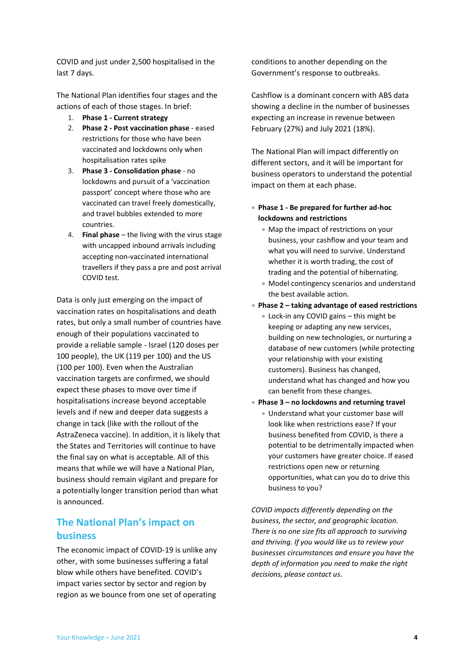COVID and just under 2,500 hospitalised in the last 7 days.

The National Plan identifies four stages and the actions of each of those stages. In brief:

- 1. **Phase 1 - Current strategy**
- 2. **Phase 2 - Post vaccination phase** eased restrictions for those who have been vaccinated and lockdowns only when hospitalisation rates spike
- 3. **Phase 3 - Consolidation phase** no lockdowns and pursuit of a 'vaccination passport' concept where those who are vaccinated can travel freely domestically, and travel bubbles extended to more countries.
- 4. **Final phase** the living with the virus stage with uncapped inbound arrivals including accepting non-vaccinated international travellers if they pass a pre and post arrival COVID test.

Data is only just emerging on the impact of vaccination rates on hospitalisations and death rates, but only a small number of countries have enough of their populations vaccinated to provide a reliable sample - Israel (120 doses per 100 people), the UK (119 per 100) and the US (100 per 100). Even when the Australian vaccination targets are confirmed, we should expect these phases to move over time if hospitalisations increase beyond acceptable levels and if new and deeper data suggests a change in tack (like with the rollout of the AstraZeneca vaccine). In addition, it is likely that the States and Territories will continue to have the final say on what is acceptable. All of this means that while we will have a National Plan, business should remain vigilant and prepare for a potentially longer transition period than what is announced.

## <span id="page-3-0"></span>**The National Plan's impact on business**

The economic impact of COVID-19 is unlike any other, with some businesses suffering a fatal blow while others have benefited. COVID's impact varies sector by sector and region by region as we bounce from one set of operating

conditions to another depending on the Government's response to outbreaks.

Cashflow is a dominant concern with ABS data showing a decline in the number of businesses expecting an increase in revenue between February (27%) and July 2021 (18%).

The National Plan will impact differently on different sectors, and it will be important for business operators to understand the potential impact on them at each phase.

- **Phase 1 - Be prepared for further ad-hoc lockdowns and restrictions** 
	- Map the impact of restrictions on your business, your cashflow and your team and what you will need to survive. Understand whether it is worth trading, the cost of trading and the potential of hibernating.
	- Model contingency scenarios and understand the best available action.
- **Phase 2 – taking advantage of eased restrictions**
	- Lock-in any COVID gains this might be keeping or adapting any new services, building on new technologies, or nurturing a database of new customers (while protecting your relationship with your existing customers). Business has changed, understand what has changed and how you can benefit from these changes.
- **Phase 3 – no lockdowns and returning travel**
	- Understand what your customer base will look like when restrictions ease? If your business benefited from COVID, is there a potential to be detrimentally impacted when your customers have greater choice. If eased restrictions open new or returning opportunities, what can you do to drive this business to you?

*COVID impacts differently depending on the business, the sector, and geographic location. There is no one size fits all approach to surviving and thriving. If you would like us to review your businesses circumstances and ensure you have the depth of information you need to make the right decisions, please contact us.*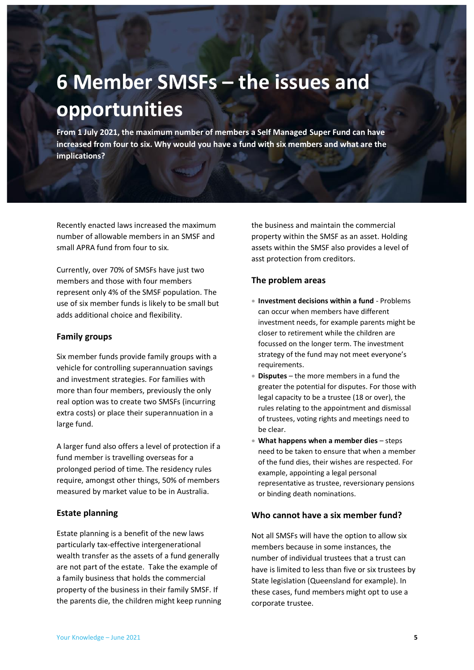# <span id="page-4-0"></span>**6 Member SMSFs – the issues and opportunities**

**From 1 July 2021, the maximum number of members a Self Managed Super Fund can have increased from four to six. Why would you have a fund with six members and what are the implications?**

Recently enacted laws increased the maximum number of allowable members in an SMSF and small APRA fund from four to six.

Currently, over 70% of SMSFs have just two members and those with four members represent only 4% of the SMSF population. The use of six member funds is likely to be small but adds additional choice and flexibility.

#### <span id="page-4-1"></span>**Family groups**

Six member funds provide family groups with a vehicle for controlling superannuation savings and investment strategies. For families with more than four members, previously the only real option was to create two SMSFs (incurring extra costs) or place their superannuation in a large fund.

A larger fund also offers a level of protection if a fund member is travelling overseas for a prolonged period of time. The residency rules require, amongst other things, 50% of members measured by market value to be in Australia.

### <span id="page-4-2"></span>**Estate planning**

Estate planning is a benefit of the new laws particularly tax-effective intergenerational wealth transfer as the assets of a fund generally are not part of the estate. Take the example of a family business that holds the commercial property of the business in their family SMSF. If the parents die, the children might keep running the business and maintain the commercial property within the SMSF as an asset. Holding assets within the SMSF also provides a level of asst protection from creditors.

### <span id="page-4-3"></span>**The problem areas**

- **Investment decisions within a fund** Problems can occur when members have different investment needs, for example parents might be closer to retirement while the children are focussed on the longer term. The investment strategy of the fund may not meet everyone's requirements.
- **Disputes** the more members in a fund the greater the potential for disputes. For those with legal capacity to be a trustee (18 or over), the rules relating to the appointment and dismissal of trustees, voting rights and meetings need to be clear.
- **What happens when a member dies** steps need to be taken to ensure that when a member of the fund dies, their wishes are respected. For example, appointing a legal personal representative as trustee, reversionary pensions or binding death nominations.

### <span id="page-4-4"></span>**Who cannot have a six member fund?**

Not all SMSFs will have the option to allow six members because in some instances, the number of individual trustees that a trust can have is limited to less than five or six trustees by State legislation (Queensland for example). In these cases, fund members might opt to use a corporate trustee.